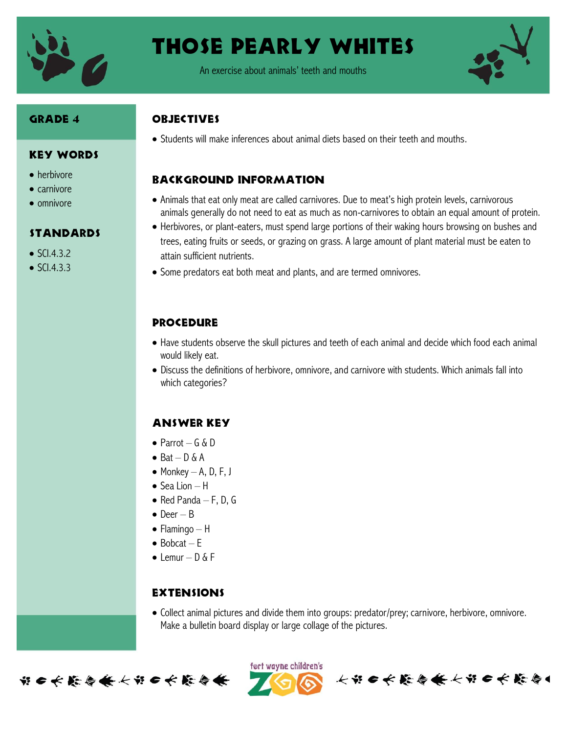

# Those Pearly Whites

An exercise about animals' teeth and mouths



#### Grade 4

• herbivore  $\bullet$  carnivore  $\bullet$  omnivore

 $\bullet$  SCI.4.3.2  $\bullet$  SCI433

Key Words

**STANDARDS** 

#### **OBJECTIVES**

• Students will make inferences about animal diets based on their teeth and mouths.

## Background information

- Animals that eat only meat are called carnivores. Due to meat's high protein levels, carnivorous animals generally do not need to eat as much as non-carnivores to obtain an equal amount of protein.
- Herbivores, or plant-eaters, must spend large portions of their waking hours browsing on bushes and trees, eating fruits or seeds, or grazing on grass. A large amount of plant material must be eaten to attain sufficient nutrients.
- Some predators eat both meat and plants, and are termed omnivores.

## **PROCEDURE**

- Have students observe the skull pictures and teeth of each animal and decide which food each animal would likely eat.
- Discuss the definitions of herbivore, omnivore, and carnivore with students. Which animals fall into which categories?

## Answer key

- $\bullet$  Parrot G & D
- $\bullet$  Bat D & A
- $\bullet$  Monkey A, D, F, J
- $\bullet$  Sea Lion H
- $\bullet$  Red Panda F, D, G
- $\bullet$  Deer B
- $\bullet$  Flamingo H
- $\bullet$  Bobcat F
- $\bullet$  Lemur D & F

## **EXTENSIONS**

 Collect animal pictures and divide them into groups: predator/prey; carnivore, herbivore, omnivore. Make a bulletin board display or large collage of the pictures.